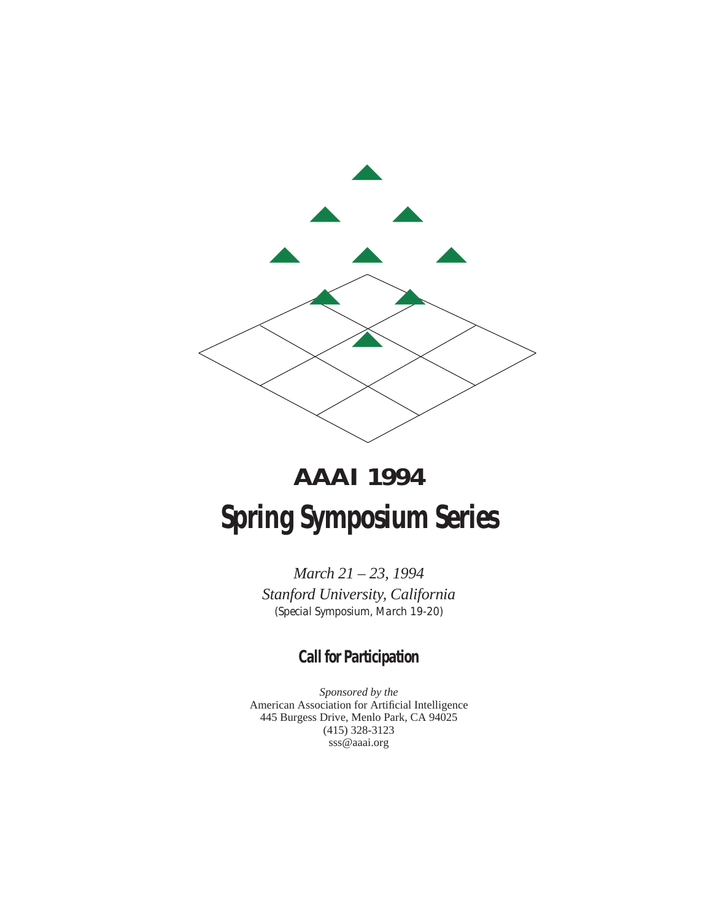

# **AAAI 1994 Spring Symposium Series**

*March 21 – 23, 1994 Stanford University, California (Special Symposium, March 19-20)*

# **Call for Participation**

*Sponsored by the* American Association for Artificial Intelligence 445 Burgess Drive, Menlo Park, CA 94025 (415) 328-3123 sss@aaai.org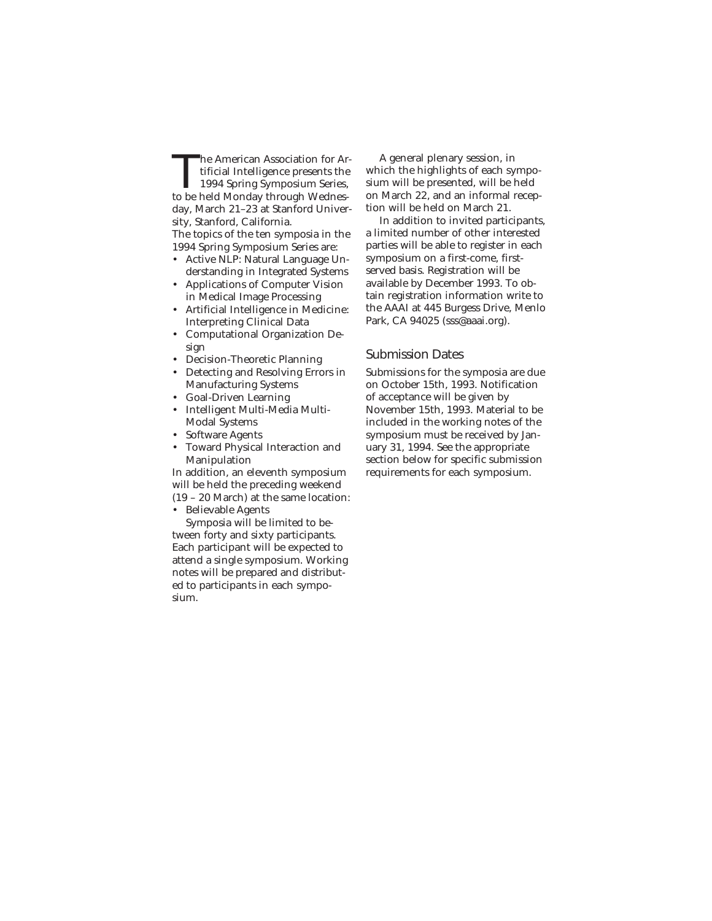The American Association for Artificial Intelligence presents the<br>1994 Spring Symposium Series,<br>to be held Monday through Wednestificial Intelligence presents the 1994 Spring Symposium Series, to be held Monday through Wednesday, March 21–23 at Stanford University, Stanford, California.

The topics of the ten symposia in the 1994 Spring Symposium Series are:

- Active NLP: Natural Language Understanding in Integrated Systems
- Applications of Computer Vision in Medical Image Processing
- Artificial Intelligence in Medicine: Interpreting Clinical Data
- Computational Organization Design
- Decision-Theoretic Planning
- Detecting and Resolving Errors in Manufacturing Systems
- Goal-Driven Learning
- Intelligent Multi-Media Multi-Modal Systems
- Software Agents
- Toward Physical Interaction and Manipulation

In addition, an eleventh symposium will be held the preceding weekend (19 – 20 March) at the same location:

• Believable Agents

Symposia will be limited to between forty and sixty participants. Each participant will be expected to attend a single symposium. Working notes will be prepared and distributed to participants in each symposium.

A general plenary session, in which the highlights of each symposium will be presented, will be held on March 22, and an informal reception will be held on March 21.

In addition to invited participants, a limited number of other interested parties will be able to register in each symposium on a first-come, firstserved basis. Registration will be available by December 1993. To obtain registration information write to the AAAI at 445 Burgess Drive, Menlo Park, CA 94025 (sss@aaai.org).

#### Submission Dates

Submissions for the symposia are due on October 15th, 1993. Notification of acceptance will be given by November 15th, 1993. Material to be included in the working notes of the symposium must be received by January 31, 1994. See the appropriate section below for specific submission requirements for each symposium.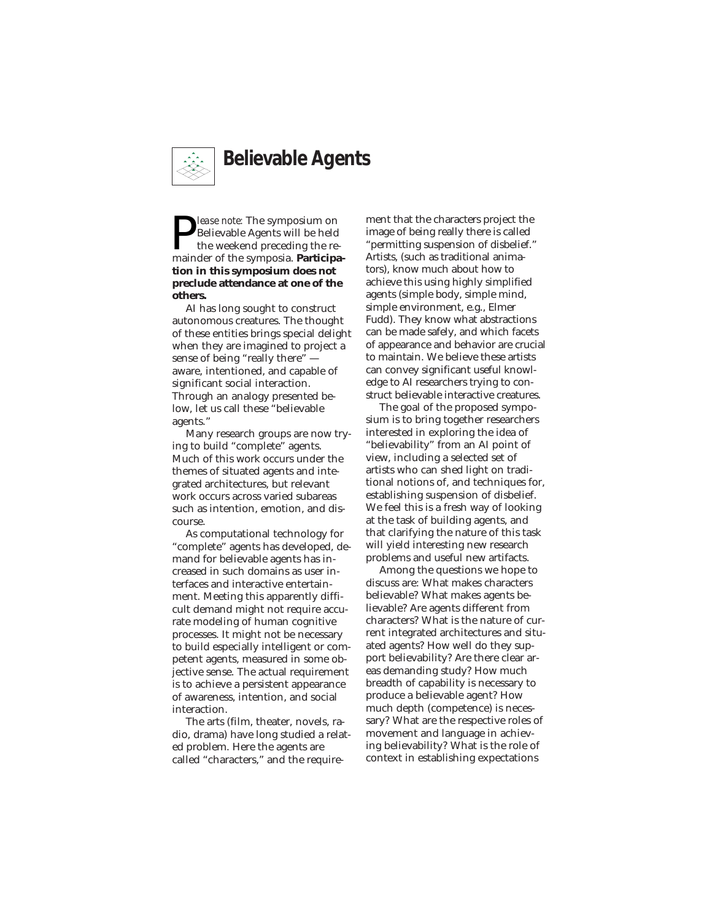

**P** *lease note:* The symposium on<br>the weekend preceding the re-<br>mainder of the symposia. Participa-Believable Agents will be held the weekend preceding the re**tion in this symposium does not preclude attendance at one of the others.**

AI has long sought to construct autonomous creatures. The thought of these entities brings special delight when they are imagined to project a sense of being "really there" aware, intentioned, and capable of significant social interaction. Through an analogy presented below, let us call these "believable agents."

Many research groups are now trying to build "complete" agents. Much of this work occurs under the themes of situated agents and integrated architectures, but relevant work occurs across varied subareas such as intention, emotion, and discourse.

As computational technology for "complete" agents has developed, demand for believable agents has increased in such domains as user interfaces and interactive entertainment. Meeting this apparently difficult demand might not require accurate modeling of human cognitive processes. It might not be necessary to build especially intelligent or competent agents, measured in some objective sense. The actual requirement is to achieve a persistent appearance of awareness, intention, and social interaction.

The arts (film, theater, novels, radio, drama) have long studied a related problem. Here the agents are called "characters," and the requirement that the characters project the image of being really there is called "permitting suspension of disbelief." Artists, (such as traditional animators), know much about how to achieve this using highly simplified agents (simple body, simple mind, simple environment, e.g., Elmer Fudd). They know what abstractions can be made safely, and which facets of appearance and behavior are crucial to maintain. We believe these artists can convey significant useful knowledge to AI researchers trying to construct believable interactive creatures.

The goal of the proposed symposium is to bring together researchers interested in exploring the idea of "believability" from an AI point of view, including a selected set of artists who can shed light on traditional notions of, and techniques for, establishing suspension of disbelief. We feel this is a fresh way of looking at the task of building agents, and that clarifying the nature of this task will yield interesting new research problems and useful new artifacts.

Among the questions we hope to discuss are: What makes characters believable? What makes agents believable? Are agents different from characters? What is the nature of current integrated architectures and situated agents? How well do they support believability? Are there clear areas demanding study? How much breadth of capability is necessary to produce a believable agent? How much depth (competence) is necessary? What are the respective roles of movement and language in achieving believability? What is the role of context in establishing expectations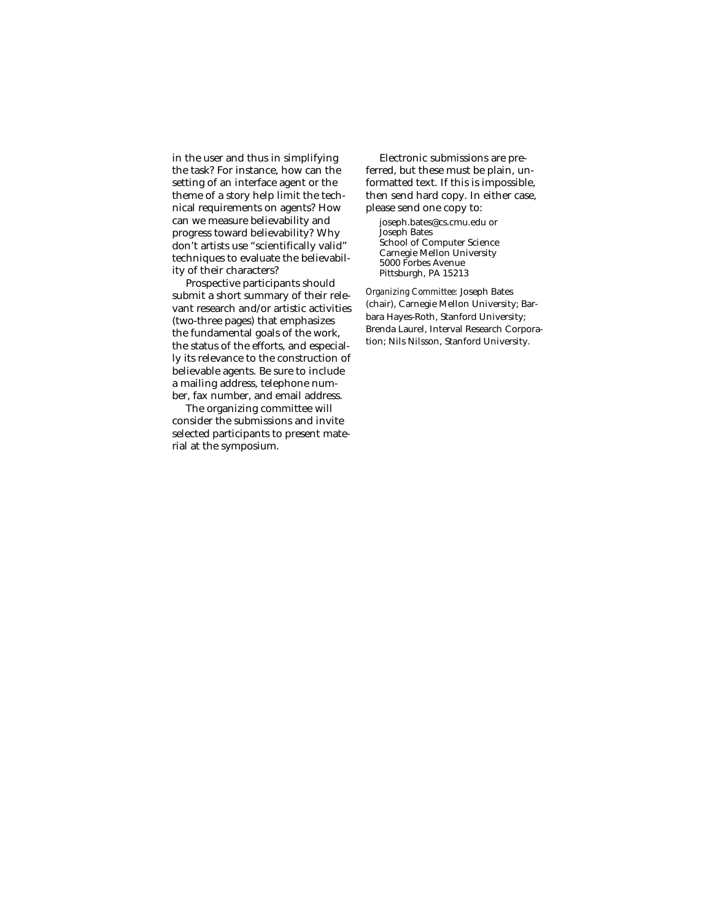in the user and thus in simplifying the task? For instance, how can the setting of an interface agent or the theme of a story help limit the technical requirements on agents? How can we measure believability and progress toward believability? Why don't artists use "scientifically valid" techniques to evaluate the believability of their characters?

Prospective participants should submit a short summary of their relevant research and/or artistic activities (two-three pages) that emphasizes the fundamental goals of the work, the status of the efforts, and especially its relevance to the construction of believable agents. Be sure to include a mailing address, telephone number, fax number, and email address.

The organizing committee will consider the submissions and invite selected participants to present material at the symposium.

Electronic submissions are preferred, but these must be plain, unformatted text. If this is impossible, then send hard copy. In either case, please send one copy to: joseph.bates@cs.cmu.edu or Joseph Bates School of Computer Science Carnegie Mellon University 5000 Forbes Avenue

Pittsburgh, PA 15213

*Organizing Committee:* Joseph Bates (chair), Carnegie Mellon University; Barbara Hayes-Roth, Stanford University; Brenda Laurel, Interval Research Corporation; Nils Nilsson, Stanford University.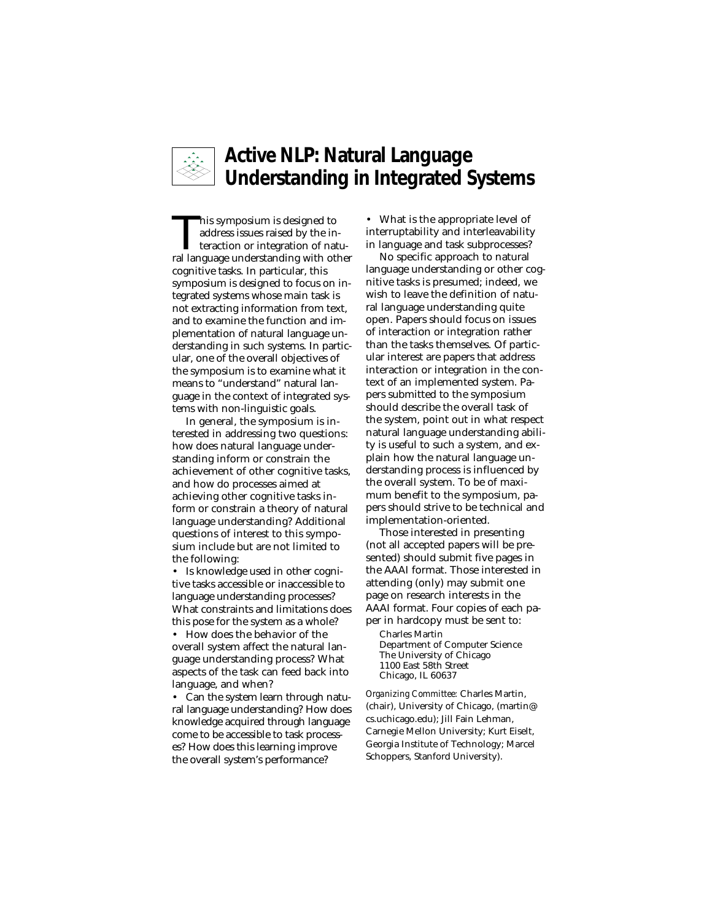

# **Active NLP: Natural Language Understanding in Integrated Systems**

This symposium is designed to<br>address issues raised by the in-<br>teraction or integration of natu-<br>ral language understanding with other address issues raised by the inral language understanding with other cognitive tasks. In particular, this symposium is designed to focus on integrated systems whose main task is not extracting information from text, and to examine the function and implementation of natural language understanding in such systems. In particular, one of the overall objectives of the symposium is to examine what it means to "understand" natural language in the context of integrated systems with non-linguistic goals.

In general, the symposium is interested in addressing two questions: how does natural language understanding inform or constrain the achievement of other cognitive tasks, and how do processes aimed at achieving other cognitive tasks inform or constrain a theory of natural language understanding? Additional questions of interest to this symposium include but are not limited to the following:

• Is knowledge used in other cognitive tasks accessible or inaccessible to language understanding processes? What constraints and limitations does this pose for the system as a whole?

• How does the behavior of the overall system affect the natural language understanding process? What aspects of the task can feed back into language, and when?

• Can the system learn through natural language understanding? How does knowledge acquired through language come to be accessible to task processes? How does this learning improve the overall system's performance?

• What is the appropriate level of interruptability and interleavability in language and task subprocesses?

No specific approach to natural language understanding or other cognitive tasks is presumed; indeed, we wish to leave the definition of natural language understanding quite open. Papers should focus on issues of interaction or integration rather than the tasks themselves. Of particular interest are papers that address interaction or integration in the context of an implemented system. Papers submitted to the symposium should describe the overall task of the system, point out in what respect natural language understanding ability is useful to such a system, and explain how the natural language understanding process is influenced by the overall system. To be of maximum benefit to the symposium, papers should strive to be technical and implementation-oriented.

Those interested in presenting (not all accepted papers will be presented) should submit five pages in the AAAI format. Those interested in attending (only) may submit one page on research interests in the AAAI format. Four copies of each paper in hardcopy must be sent to:

Charles Martin Department of Computer Science The University of Chicago 1100 East 58th Street Chicago, IL 60637

*Organizing Committee:* Charles Martin, (chair), University of Chicago, (martin@ cs.uchicago.edu); Jill Fain Lehman, Carnegie Mellon University; Kurt Eiselt, Georgia Institute of Technology; Marcel Schoppers, Stanford University).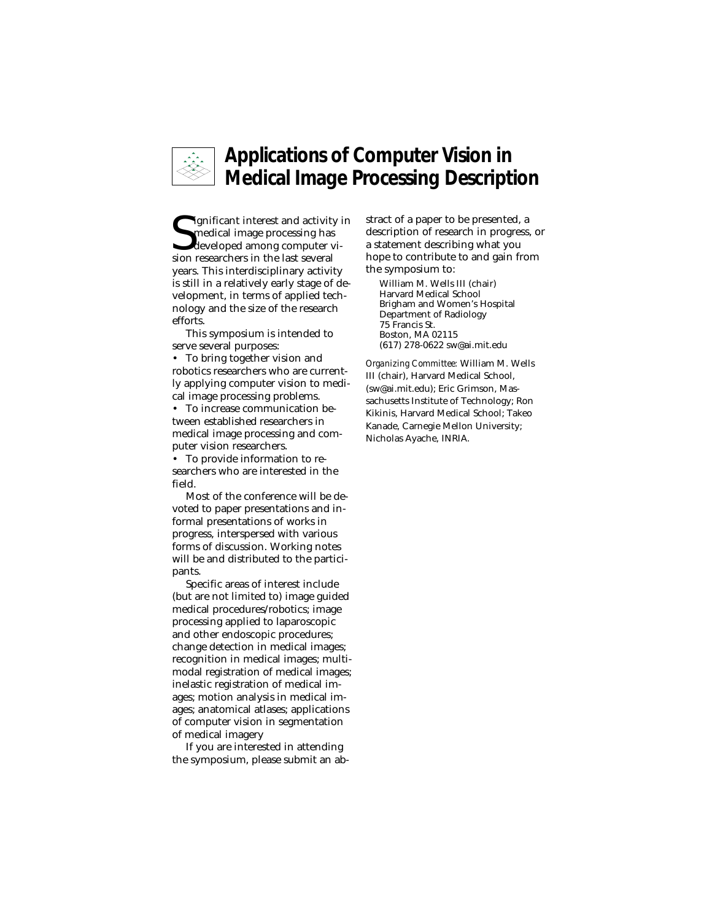

# **Applications of Computer Vision in Medical Image Processing Description**

Significant interest and activity<br>
medical image processing has<br>
developed among computer<br>
sion researchers in the last several **I** ignificant interest and activity in medical image processing has developed among computer viyears. This interdisciplinary activity is still in a relatively early stage of development, in terms of applied technology and the size of the research efforts.

This symposium is intended to serve several purposes:

• To bring together vision and robotics researchers who are currently applying computer vision to medical image processing problems.

• To increase communication between established researchers in medical image processing and computer vision researchers.

• To provide information to researchers who are interested in the field.

Most of the conference will be devoted to paper presentations and informal presentations of works in progress, interspersed with various forms of discussion. Working notes will be and distributed to the participants.

Specific areas of interest include (but are not limited to) image guided medical procedures/robotics; image processing applied to laparoscopic and other endoscopic procedures; change detection in medical images; recognition in medical images; multimodal registration of medical images; inelastic registration of medical images; motion analysis in medical images; anatomical atlases; applications of computer vision in segmentation of medical imagery

If you are interested in attending the symposium, please submit an abstract of a paper to be presented, a description of research in progress, or a statement describing what you hope to contribute to and gain from the symposium to:

William M. Wells III (chair) Harvard Medical School Brigham and Women's Hospital Department of Radiology 75 Francis St. Boston, MA 02115 (617) 278-0622 sw@ai.mit.edu

*Organizing Committee:* William M. Wells III (chair), Harvard Medical School, (sw@ai.mit.edu); Eric Grimson, Massachusetts Institute of Technology; Ron Kikinis, Harvard Medical School; Takeo Kanade, Carnegie Mellon University; Nicholas Ayache, INRIA.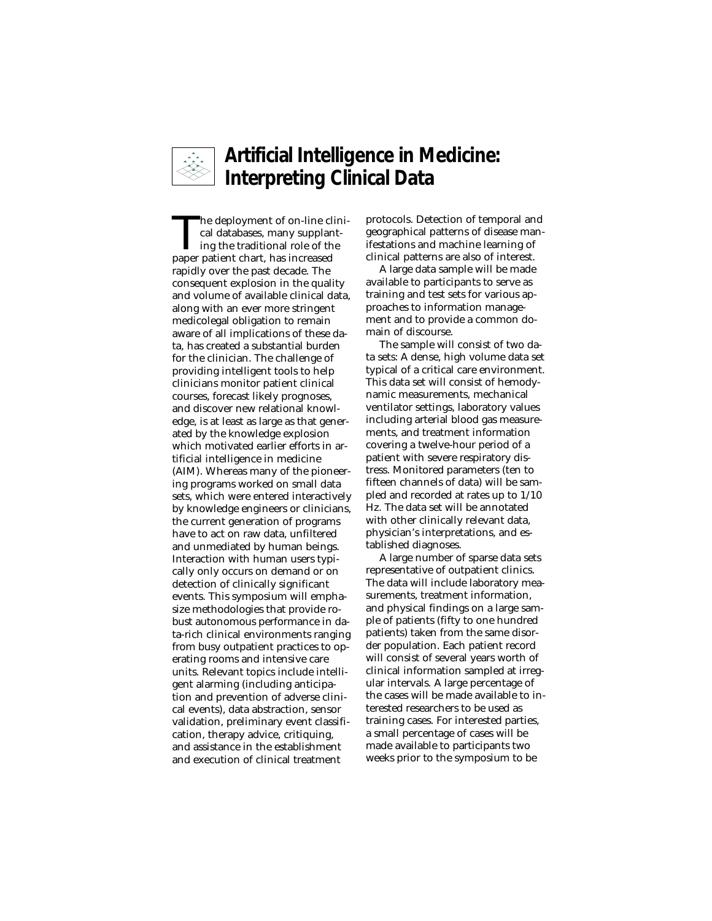

# **Artificial Intelligence in Medicine: Interpreting Clinical Data**

The deployment of on-line clini-<br>cal databases, many supplant-<br>ing the traditional role of the<br>naner natient chart has increased cal databases, many supplantpaper patient chart, has increased rapidly over the past decade. The consequent explosion in the quality and volume of available clinical data, along with an ever more stringent medicolegal obligation to remain aware of all implications of these data, has created a substantial burden for the clinician. The challenge of providing intelligent tools to help clinicians monitor patient clinical courses, forecast likely prognoses, and discover new relational knowledge, is at least as large as that generated by the knowledge explosion which motivated earlier efforts in artificial intelligence in medicine (AIM). Whereas many of the pioneering programs worked on small data sets, which were entered interactively by knowledge engineers or clinicians, the current generation of programs have to act on raw data, unfiltered and unmediated by human beings. Interaction with human users typically only occurs on demand or on detection of clinically significant events. This symposium will emphasize methodologies that provide robust autonomous performance in data-rich clinical environments ranging from busy outpatient practices to operating rooms and intensive care units. Relevant topics include intelligent alarming (including anticipation and prevention of adverse clinical events), data abstraction, sensor validation, preliminary event classification, therapy advice, critiquing, and assistance in the establishment and execution of clinical treatment

protocols. Detection of temporal and geographical patterns of disease manifestations and machine learning of clinical patterns are also of interest.

A large data sample will be made available to participants to serve as training and test sets for various approaches to information management and to provide a common domain of discourse.

The sample will consist of two data sets: A dense, high volume data set typical of a critical care environment. This data set will consist of hemodynamic measurements, mechanical ventilator settings, laboratory values including arterial blood gas measurements, and treatment information covering a twelve-hour period of a patient with severe respiratory distress. Monitored parameters (ten to fifteen channels of data) will be sampled and recorded at rates up to 1/10 Hz. The data set will be annotated with other clinically relevant data, physician's interpretations, and established diagnoses.

A large number of sparse data sets representative of outpatient clinics. The data will include laboratory measurements, treatment information, and physical findings on a large sample of patients (fifty to one hundred patients) taken from the same disorder population. Each patient record will consist of several years worth of clinical information sampled at irregular intervals. A large percentage of the cases will be made available to interested researchers to be used as training cases. For interested parties, a small percentage of cases will be made available to participants two weeks prior to the symposium to be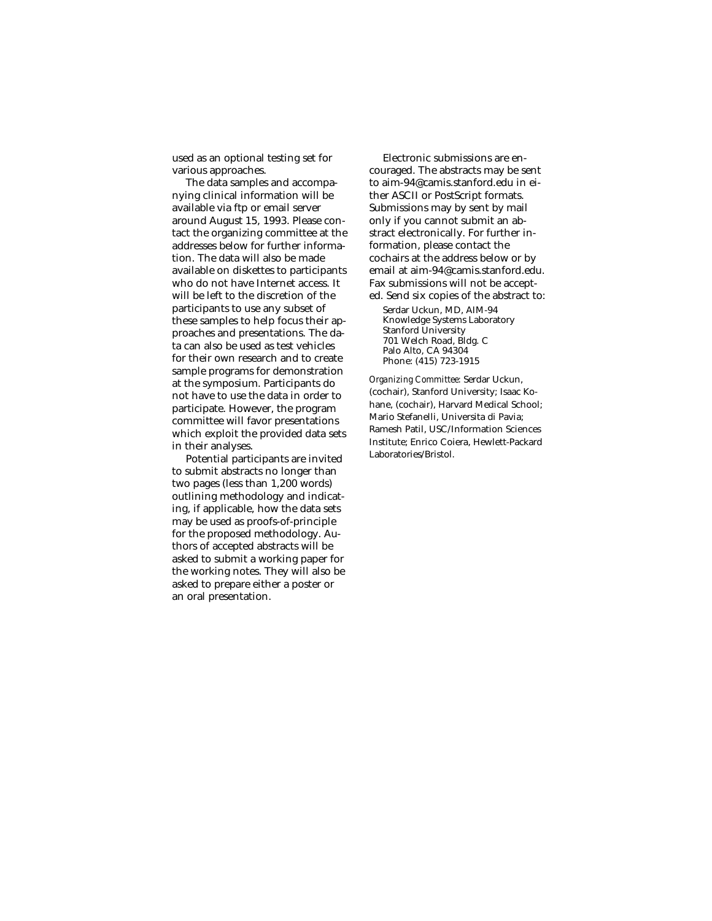used as an optional testing set for various approaches.

The data samples and accompanying clinical information will be available via ftp or email server around August 15, 1993. Please contact the organizing committee at the addresses below for further information. The data will also be made available on diskettes to participants who do not have Internet access. It will be left to the discretion of the participants to use any subset of these samples to help focus their approaches and presentations. The data can also be used as test vehicles for their own research and to create sample programs for demonstration at the symposium. Participants do not have to use the data in order to participate. However, the program committee will favor presentations which exploit the provided data sets in their analyses.

Potential participants are invited to submit abstracts no longer than two pages (less than 1,200 words) outlining methodology and indicating, if applicable, how the data sets may be used as proofs-of-principle for the proposed methodology. Authors of accepted abstracts will be asked to submit a working paper for the working notes. They will also be asked to prepare either a poster or an oral presentation.

Electronic submissions are encouraged. The abstracts may be sent to aim-94@camis.stanford.edu in either ASCII or PostScript formats. Submissions may by sent by mail only if you cannot submit an abstract electronically. For further information, please contact the cochairs at the address below or by email at aim-94@camis.stanford.edu. Fax submissions will not be accepted. Send six copies of the abstract to:

Serdar Uckun, MD, AIM-94 Knowledge Systems Laboratory Stanford University 701 Welch Road, Bldg. C Palo Alto, CA 94304 Phone: (415) 723-1915

*Organizing Committee:* Serdar Uckun, (cochair), Stanford University; Isaac Kohane, (cochair), Harvard Medical School; Mario Stefanelli, Universita di Pavia; Ramesh Patil, USC/Information Sciences Institute; Enrico Coiera, Hewlett-Packard Laboratories/Bristol.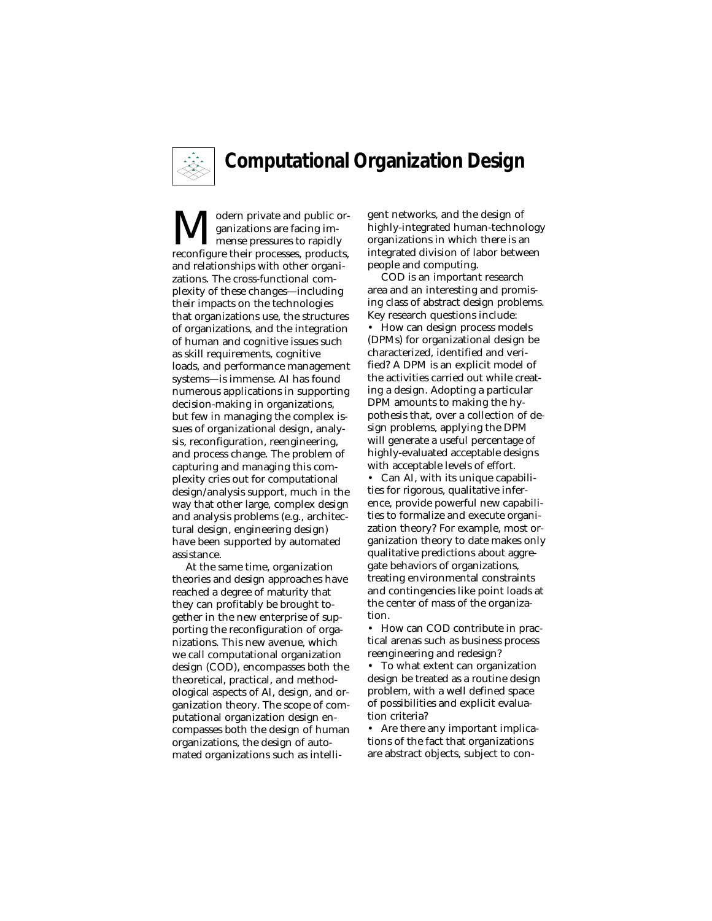

# **Computational Organization Design**

 $\sum_{\text{manizations are facing im-} \text{reconfigure their processes, products,}}$ ganizations are facing immense pressures to rapidly and relationships with other organizations. The cross-functional complexity of these changes—including their impacts on the technologies that organizations use, the structures of organizations, and the integration of human and cognitive issues such as skill requirements, cognitive loads, and performance management systems—is immense. AI has found numerous applications in supporting decision-making in organizations, but few in managing the complex issues of organizational design, analysis, reconfiguration, reengineering, and process change. The problem of capturing and managing this complexity cries out for computational design/analysis support, much in the way that other large, complex design and analysis problems (e.g., architectural design, engineering design) have been supported by automated assistance.

At the same time, organization theories and design approaches have reached a degree of maturity that they can profitably be brought together in the new enterprise of supporting the reconfiguration of organizations. This new avenue, which we call computational organization design (COD), encompasses both the theoretical, practical, and methodological aspects of AI, design, and organization theory. The scope of computational organization design encompasses both the design of human organizations, the design of automated organizations such as intelligent networks, and the design of highly-integrated human-technology organizations in which there is an integrated division of labor between people and computing.

COD is an important research area and an interesting and promising class of abstract design problems. Key research questions include: • How can design process models (DPMs) for organizational design be characterized, identified and verified? A DPM is an explicit model of the activities carried out while creating a design. Adopting a particular DPM amounts to making the hypothesis that, over a collection of design problems, applying the DPM will generate a useful percentage of highly-evaluated acceptable designs with acceptable levels of effort.

• Can AI, with its unique capabilities for rigorous, qualitative inference, provide powerful new capabilities to formalize and execute organization theory? For example, most organization theory to date makes only qualitative predictions about aggregate behaviors of organizations, treating environmental constraints and contingencies like point loads at the center of mass of the organization.

• How can COD contribute in practical arenas such as business process reengineering and redesign?

• To what extent can organization design be treated as a routine design problem, with a well defined space of possibilities and explicit evaluation criteria?

• Are there any important implications of the fact that organizations are abstract objects, subject to con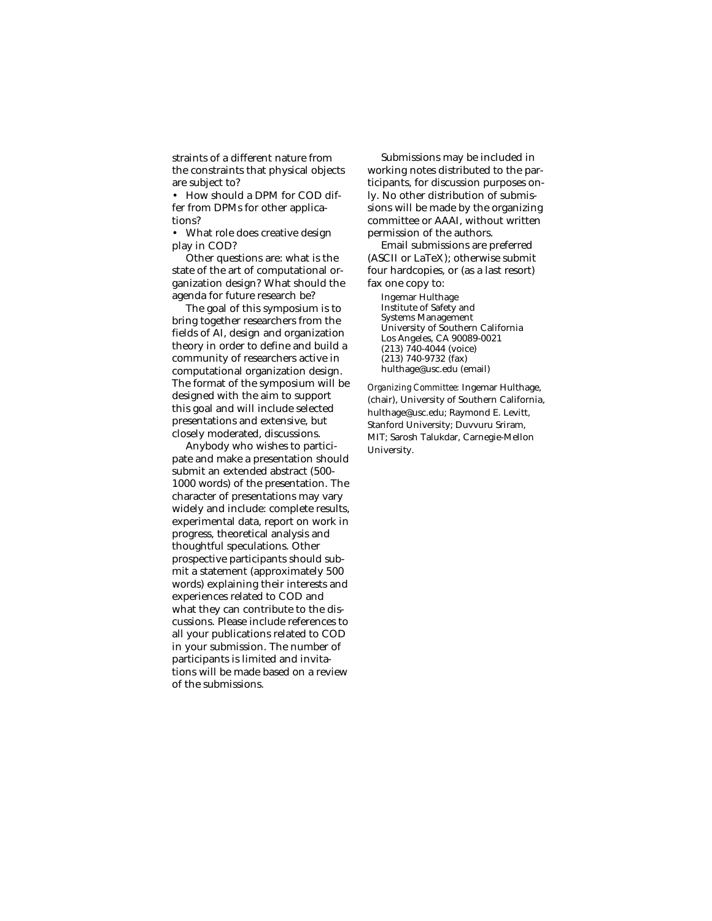straints of a different nature from the constraints that physical objects are subject to?

• How should a DPM for COD differ from DPMs for other applications?

• What role does creative design play in COD?

Other questions are: what is the state of the art of computational organization design? What should the agenda for future research be?

The goal of this symposium is to bring together researchers from the fields of AI, design and organization theory in order to define and build a community of researchers active in computational organization design. The format of the symposium will be designed with the aim to support this goal and will include selected presentations and extensive, but closely moderated, discussions.

Anybody who wishes to participate and make a presentation should submit an extended abstract (500- 1000 words) of the presentation. The character of presentations may vary widely and include: complete results, experimental data, report on work in progress, theoretical analysis and thoughtful speculations. Other prospective participants should submit a statement (approximately 500 words) explaining their interests and experiences related to COD and what they can contribute to the discussions. Please include references to all your publications related to COD in your submission. The number of participants is limited and invitations will be made based on a review of the submissions.

Submissions may be included in working notes distributed to the participants, for discussion purposes only. No other distribution of submissions will be made by the organizing committee or AAAI, without written permission of the authors.

Email submissions are preferred (ASCII or LaTeX); otherwise submit four hardcopies, or (as a last resort) fax one copy to:

Ingemar Hulthage Institute of Safety and Systems Management University of Southern California Los Angeles, CA 90089-0021 (213) 740-4044 (voice) (213) 740-9732 (fax) hulthage@usc.edu (email)

*Organizing Committee:* Ingemar Hulthage, (chair), University of Southern California, hulthage@usc.edu; Raymond E. Levitt, Stanford University; Duvvuru Sriram, MIT; Sarosh Talukdar, Carnegie-Mellon University.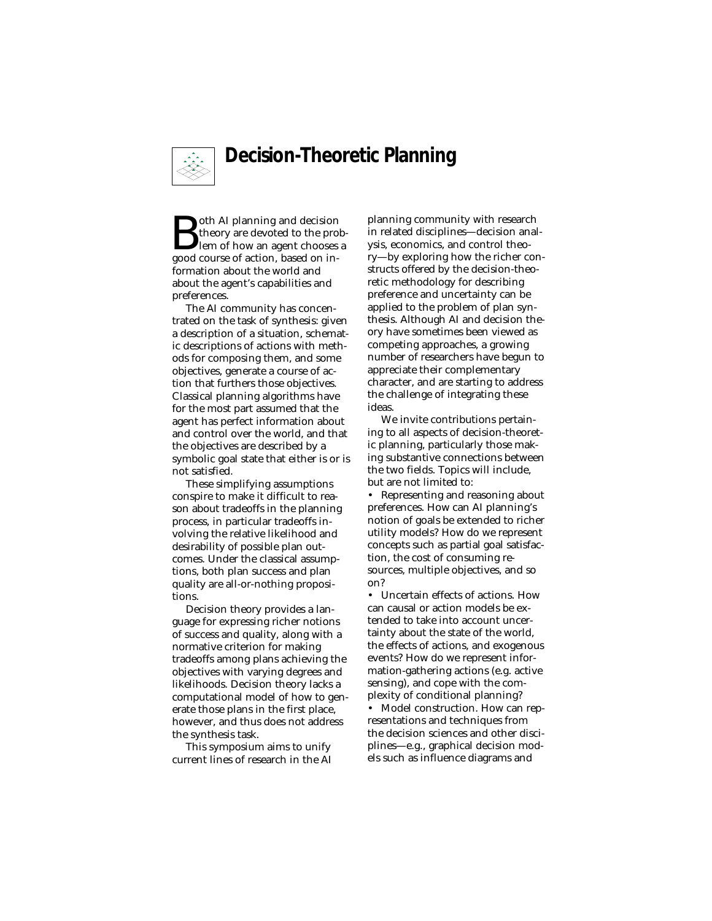

# **Decision-Theoretic Planning**

**B**oth AI planning and decision<br>theory are devoted to the proven because allow an agent chooses<br>good course of action, based on intheory are devoted to the problem of how an agent chooses a formation about the world and about the agent's capabilities and preferences.

The AI community has concentrated on the task of synthesis: given a description of a situation, schematic descriptions of actions with methods for composing them, and some objectives, generate a course of action that furthers those objectives. Classical planning algorithms have for the most part assumed that the agent has perfect information about and control over the world, and that the objectives are described by a symbolic goal state that either is or is not satisfied.

These simplifying assumptions conspire to make it difficult to reason about tradeoffs in the planning process, in particular tradeoffs involving the relative likelihood and desirability of possible plan outcomes. Under the classical assumptions, both plan success and plan quality are all-or-nothing propositions.

Decision theory provides a language for expressing richer notions of success and quality, along with a normative criterion for making tradeoffs among plans achieving the objectives with varying degrees and likelihoods. Decision theory lacks a computational model of how to generate those plans in the first place, however, and thus does not address the synthesis task.

This symposium aims to unify current lines of research in the AI planning community with research in related disciplines—decision analysis, economics, and control theory—by exploring how the richer constructs offered by the decision-theoretic methodology for describing preference and uncertainty can be applied to the problem of plan synthesis. Although AI and decision theory have sometimes been viewed as competing approaches, a growing number of researchers have begun to appreciate their complementary character, and are starting to address the challenge of integrating these ideas.

We invite contributions pertaining to all aspects of decision-theoretic planning, particularly those making substantive connections between the two fields. Topics will include, but are not limited to:

• Representing and reasoning about preferences. How can AI planning's notion of goals be extended to richer utility models? How do we represent concepts such as partial goal satisfaction, the cost of consuming resources, multiple objectives, and so on?

Uncertain effects of actions. How can causal or action models be extended to take into account uncertainty about the state of the world, the effects of actions, and exogenous events? How do we represent information-gathering actions (e.g. active sensing), and cope with the complexity of conditional planning?

• Model construction. How can representations and techniques from the decision sciences and other disciplines—e.g., graphical decision models such as influence diagrams and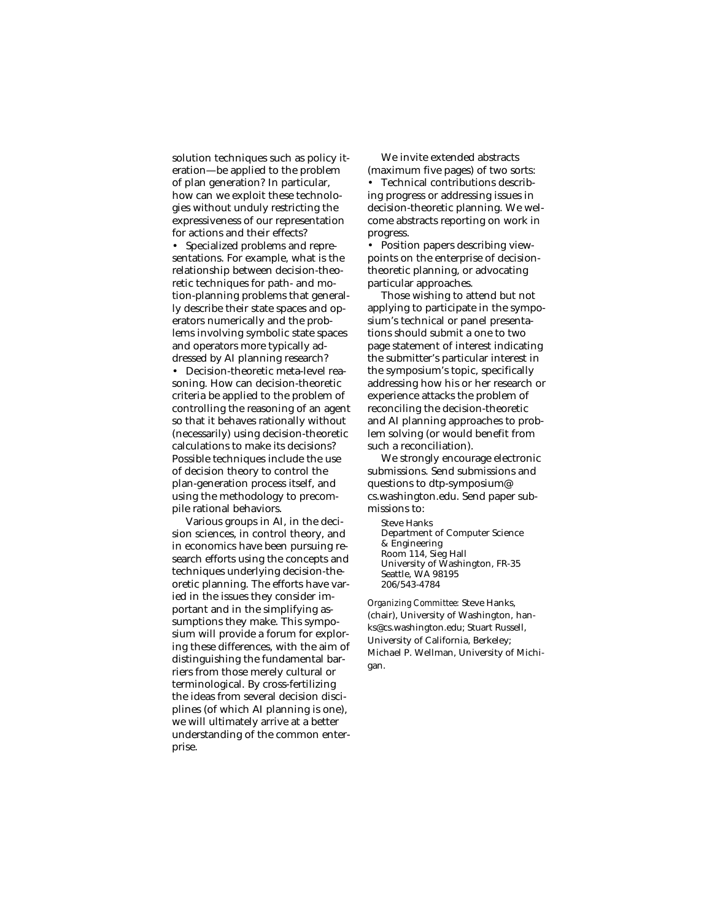solution techniques such as policy iteration—be applied to the problem of plan generation? In particular, how can we exploit these technologies without unduly restricting the expressiveness of our representation for actions and their effects?

• Specialized problems and representations. For example, what is the relationship between decision-theoretic techniques for path- and motion-planning problems that generally describe their state spaces and operators numerically and the problems involving symbolic state spaces and operators more typically addressed by AI planning research?

• Decision-theoretic meta-level reasoning. How can decision-theoretic criteria be applied to the problem of controlling the reasoning of an agent so that it behaves rationally without (necessarily) using decision-theoretic calculations to make its decisions? Possible techniques include the use of decision theory to control the plan-generation process itself, and using the methodology to precompile rational behaviors.

Various groups in AI, in the decision sciences, in control theory, and in economics have been pursuing research efforts using the concepts and techniques underlying decision-theoretic planning. The efforts have varied in the issues they consider important and in the simplifying assumptions they make. This symposium will provide a forum for exploring these differences, with the aim of distinguishing the fundamental barriers from those merely cultural or terminological. By cross-fertilizing the ideas from several decision disciplines (of which AI planning is one), we will ultimately arrive at a better understanding of the common enterprise.

We invite extended abstracts (maximum five pages) of two sorts: • Technical contributions describing progress or addressing issues in decision-theoretic planning. We welcome abstracts reporting on work in progress.

• Position papers describing viewpoints on the enterprise of decisiontheoretic planning, or advocating particular approaches.

Those wishing to attend but not applying to participate in the symposium's technical or panel presentations should submit a one to two page statement of interest indicating the submitter's particular interest in the symposium's topic, specifically addressing how his or her research or experience attacks the problem of reconciling the decision-theoretic and AI planning approaches to problem solving (or would benefit from such a reconciliation).

We strongly encourage electronic submissions. Send submissions and questions to dtp-symposium@ cs.washington.edu. Send paper submissions to:

Steve Hanks Department of Computer Science & Engineering Room 114, Sieg Hall University of Washington, FR-35 Seattle, WA 98195 206/543-4784

*Organizing Committee:* Steve Hanks, (chair), University of Washington, hanks@cs.washington.edu; Stuart Russell, University of California, Berkeley; Michael P. Wellman, University of Michigan.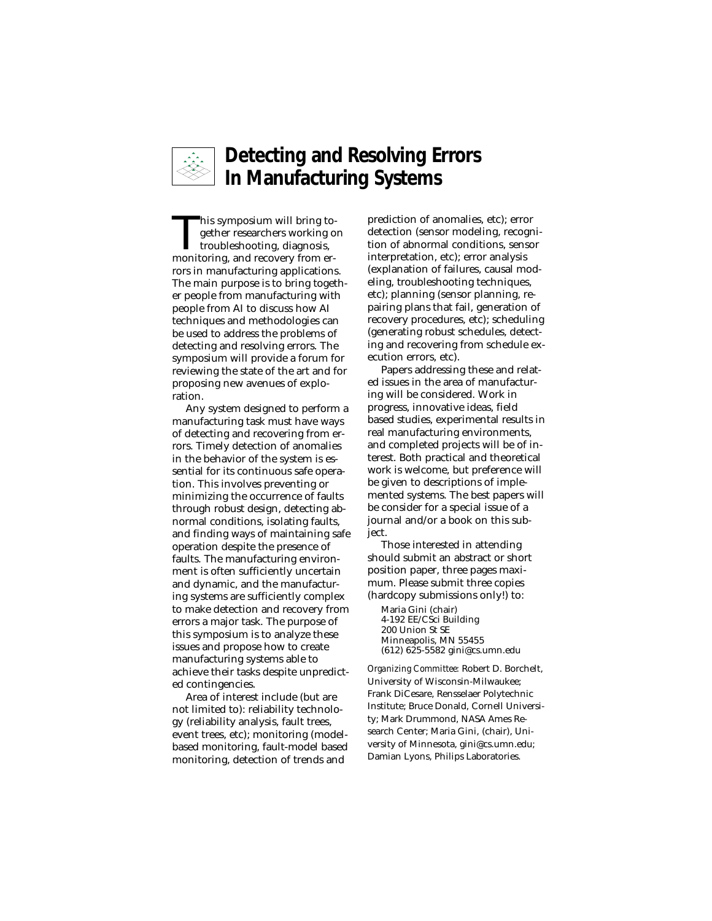

# **Detecting and Resolving Errors In Manufacturing Systems**

This symposium will bring to-<br>gether researchers working of<br>troubleshooting, diagnosis,<br>monitoring and recovery from ergether researchers working on troubleshooting, diagnosis, monitoring, and recovery from errors in manufacturing applications. The main purpose is to bring together people from manufacturing with people from AI to discuss how AI techniques and methodologies can be used to address the problems of detecting and resolving errors. The symposium will provide a forum for reviewing the state of the art and for proposing new avenues of exploration.

Any system designed to perform a manufacturing task must have ways of detecting and recovering from errors. Timely detection of anomalies in the behavior of the system is essential for its continuous safe operation. This involves preventing or minimizing the occurrence of faults through robust design, detecting abnormal conditions, isolating faults, and finding ways of maintaining safe operation despite the presence of faults. The manufacturing environment is often sufficiently uncertain and dynamic, and the manufacturing systems are sufficiently complex to make detection and recovery from errors a major task. The purpose of this symposium is to analyze these issues and propose how to create manufacturing systems able to achieve their tasks despite unpredicted contingencies.

Area of interest include (but are not limited to): reliability technology (reliability analysis, fault trees, event trees, etc); monitoring (modelbased monitoring, fault-model based monitoring, detection of trends and

prediction of anomalies, etc); error detection (sensor modeling, recognition of abnormal conditions, sensor interpretation, etc); error analysis (explanation of failures, causal modeling, troubleshooting techniques, etc); planning (sensor planning, repairing plans that fail, generation of recovery procedures, etc); scheduling (generating robust schedules, detecting and recovering from schedule execution errors, etc).

Papers addressing these and related issues in the area of manufacturing will be considered. Work in progress, innovative ideas, field based studies, experimental results in real manufacturing environments, and completed projects will be of interest. Both practical and theoretical work is welcome, but preference will be given to descriptions of implemented systems. The best papers will be consider for a special issue of a journal and/or a book on this subject.

Those interested in attending should submit an abstract or short position paper, three pages maximum. Please submit three copies (hardcopy submissions only!) to:

Maria Gini (chair) 4-192 EE/CSci Building 200 Union St SE Minneapolis, MN 55455 (612) 625-5582 gini@cs.umn.edu

*Organizing Committee:* Robert D. Borchelt, University of Wisconsin-Milwaukee; Frank DiCesare, Rensselaer Polytechnic Institute; Bruce Donald, Cornell University; Mark Drummond, NASA Ames Research Center; Maria Gini, (chair), University of Minnesota, gini@cs.umn.edu; Damian Lyons, Philips Laboratories.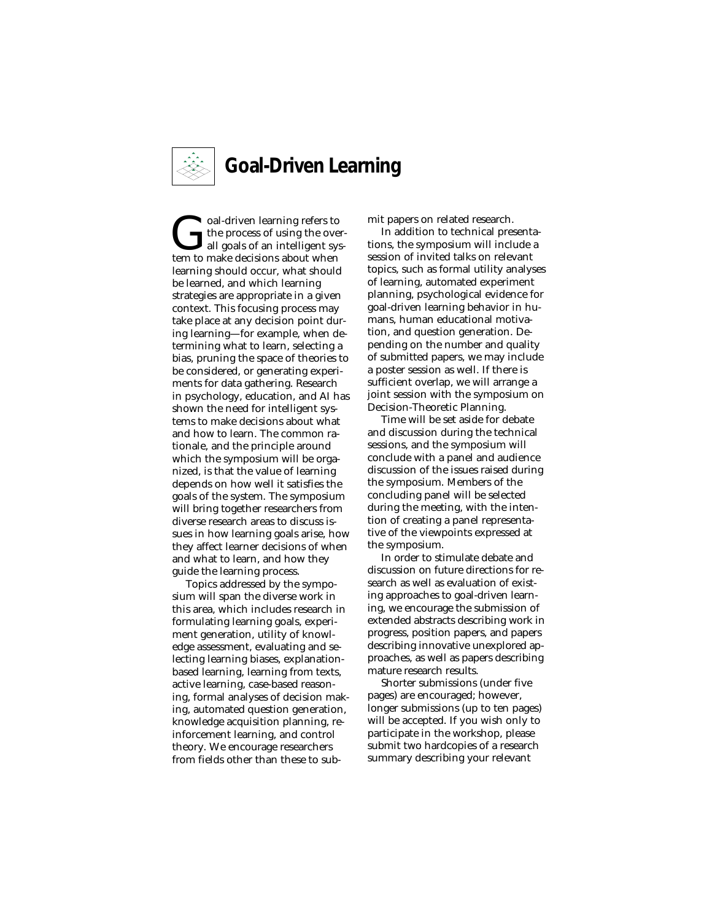

# **Goal-Driven Learning**

Goal-driven learning refers to<br>the process of using the overall goals of an intelligent system<br>to make decisions about when the process of using the overall goals of an intelligent system to make decisions about when learning should occur, what should be learned, and which learning strategies are appropriate in a given context. This focusing process may take place at any decision point during learning—for example, when determining what to learn, selecting a bias, pruning the space of theories to be considered, or generating experiments for data gathering. Research in psychology, education, and AI has shown the need for intelligent systems to make decisions about what and how to learn. The common rationale, and the principle around which the symposium will be organized, is that the value of learning depends on how well it satisfies the goals of the system. The symposium will bring together researchers from diverse research areas to discuss issues in how learning goals arise, how they affect learner decisions of when and what to learn, and how they guide the learning process.

Topics addressed by the symposium will span the diverse work in this area, which includes research in formulating learning goals, experiment generation, utility of knowledge assessment, evaluating and selecting learning biases, explanationbased learning, learning from texts, active learning, case-based reasoning, formal analyses of decision making, automated question generation, knowledge acquisition planning, reinforcement learning, and control theory. We encourage researchers from fields other than these to submit papers on related research.

In addition to technical presentations, the symposium will include a session of invited talks on relevant topics, such as formal utility analyses of learning, automated experiment planning, psychological evidence for goal-driven learning behavior in humans, human educational motivation, and question generation. Depending on the number and quality of submitted papers, we may include a poster session as well. If there is sufficient overlap, we will arrange a joint session with the symposium on Decision-Theoretic Planning.

Time will be set aside for debate and discussion during the technical sessions, and the symposium will conclude with a panel and audience discussion of the issues raised during the symposium. Members of the concluding panel will be selected during the meeting, with the intention of creating a panel representative of the viewpoints expressed at the symposium.

In order to stimulate debate and discussion on future directions for research as well as evaluation of existing approaches to goal-driven learning, we encourage the submission of extended abstracts describing work in progress, position papers, and papers describing innovative unexplored approaches, as well as papers describing mature research results.

Shorter submissions (under five pages) are encouraged; however, longer submissions (up to ten pages) will be accepted. If you wish only to participate in the workshop, please submit two hardcopies of a research summary describing your relevant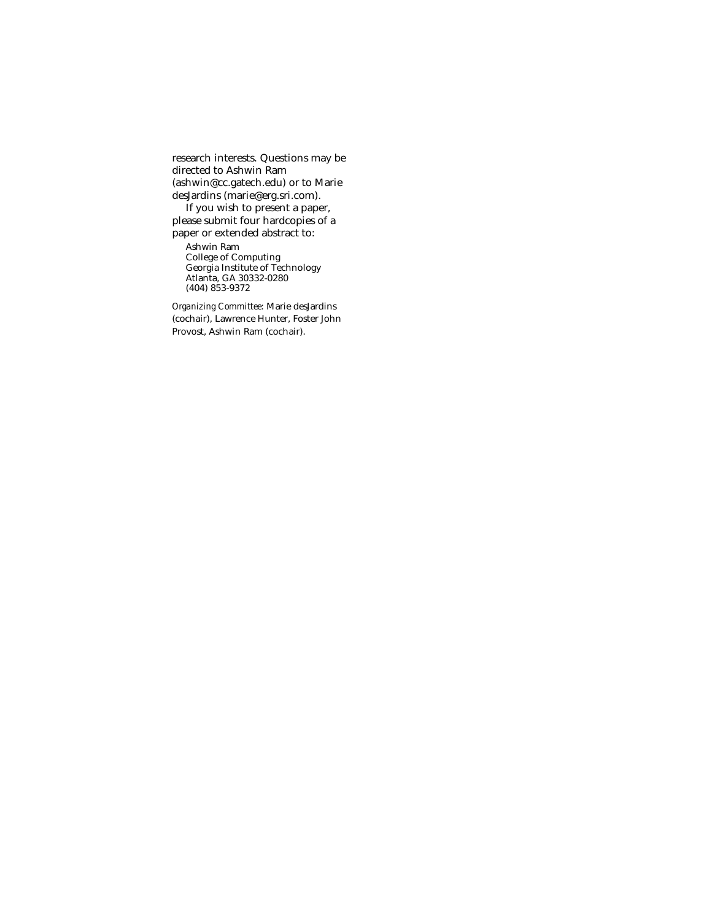research interests. Questions may be directed to Ashwin Ram (ashwin@cc.gatech.edu) or to Marie desJardins (marie@erg.sri.com).

If you wish to present a paper, please submit four hardcopies of a paper or extended abstract to:

Ashwin Ram College of Computing Georgia Institute of Technology Atlanta, GA 30332-0280 (404) 853-9372

*Organizing Committee:* Marie desJardins (cochair), Lawrence Hunter, Foster John Provost, Ashwin Ram (cochair).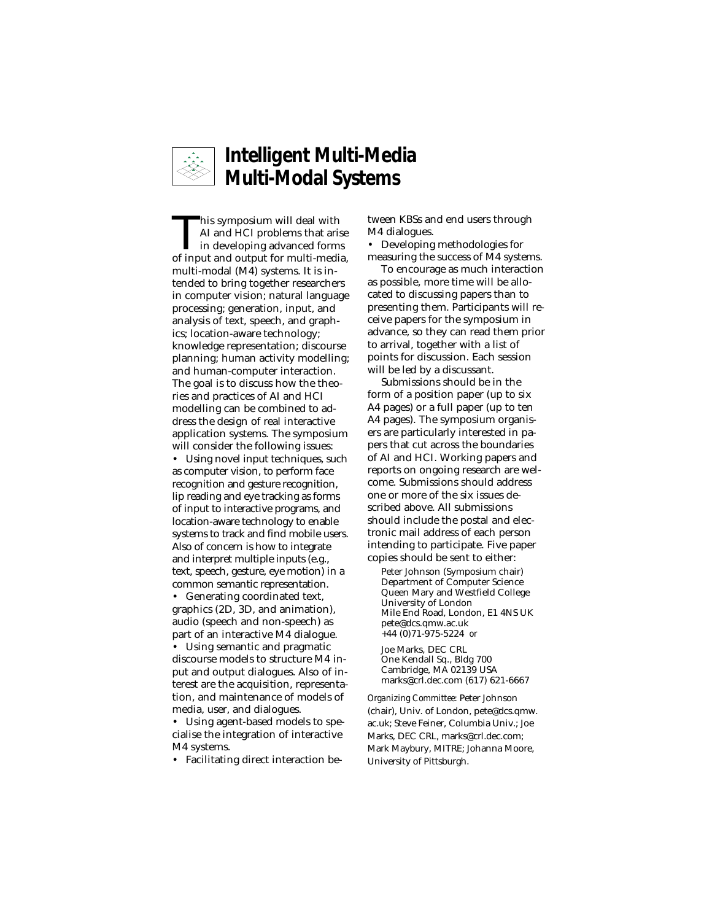

# **Intelligent Multi-Media Multi-Modal Systems**

This symposium will deal with<br>AI and HCI problems that arise<br>in developing advanced forms<br>of input and output for multi-media AI and HCI problems that arise of input and output for multi-media, multi-modal (M4) systems. It is intended to bring together researchers in computer vision; natural language processing; generation, input, and analysis of text, speech, and graphics; location-aware technology; knowledge representation; discourse planning; human activity modelling; and human-computer interaction. The goal is to discuss how the theories and practices of AI and HCI modelling can be combined to address the design of real interactive application systems. The symposium will consider the following issues:

• Using novel input techniques, such as computer vision, to perform face recognition and gesture recognition, lip reading and eye tracking as forms of input to interactive programs, and location-aware technology to enable systems to track and find mobile users. Also of concern is how to integrate and interpret multiple inputs (e.g., text, speech, gesture, eye motion) in a common semantic representation.

• Generating coordinated text, graphics (2D, 3D, and animation), audio (speech and non-speech) as part of an interactive M4 dialogue.

• Using semantic and pragmatic discourse models to structure M4 input and output dialogues. Also of interest are the acquisition, representation, and maintenance of models of media, user, and dialogues.

Using agent-based models to specialise the integration of interactive M4 systems.

• Facilitating direct interaction be-

tween KBSs and end users through M4 dialogues.

• Developing methodologies for measuring the success of M4 systems.

To encourage as much interaction as possible, more time will be allocated to discussing papers than to presenting them. Participants will receive papers for the symposium in advance, so they can read them prior to arrival, together with a list of points for discussion. Each session will be led by a discussant.

Submissions should be in the form of a position paper (up to six A4 pages) or a full paper (up to ten A4 pages). The symposium organisers are particularly interested in papers that cut across the boundaries of AI and HCI. Working papers and reports on ongoing research are welcome. Submissions should address one or more of the six issues described above. All submissions should include the postal and electronic mail address of each person intending to participate. Five paper copies should be sent to either:

Peter Johnson (Symposium chair) Department of Computer Science Queen Mary and Westfield College University of London Mile End Road, London, E1 4NS UK pete@dcs.qmw.ac.uk +44 (0)71-975-5224 *or*

Joe Marks, DEC CRL One Kendall Sq., Bldg 700 Cambridge, MA 02139 USA marks@crl.dec.com (617) 621-6667

*Organizing Committee:* Peter Johnson (chair), Univ. of London, pete@dcs.qmw. ac.uk; Steve Feiner, Columbia Univ.; Joe Marks, DEC CRL, marks@crl.dec.com; Mark Maybury, MITRE; Johanna Moore, University of Pittsburgh.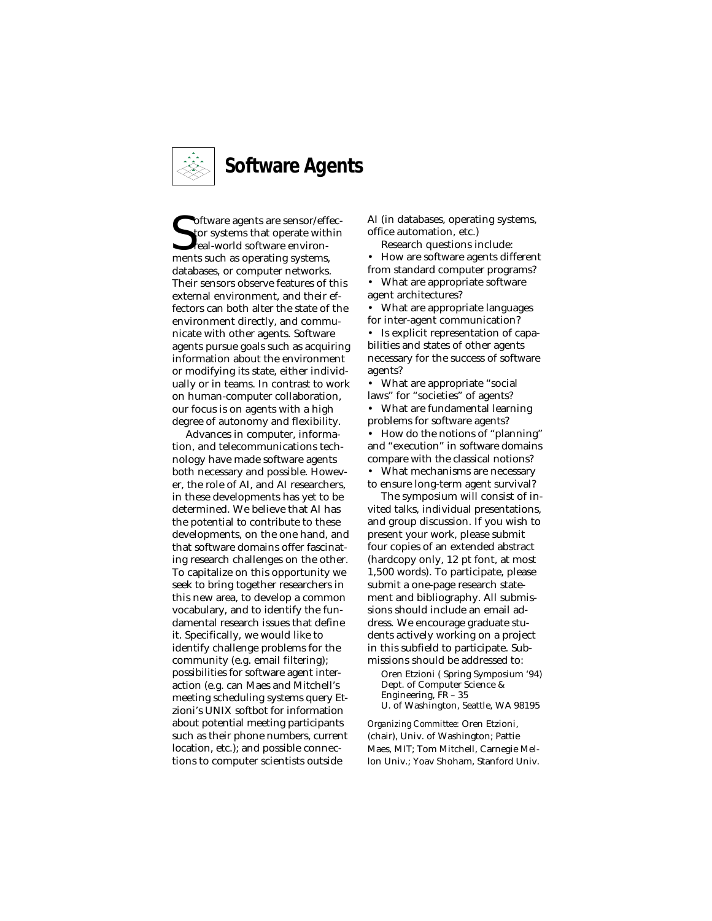

**S** of tware agents are sensor/eff<br>tor systems that operate with<br>real-world software environ-<br>ments such as operating systems, oftware agents are sensor/effector systems that operate within real-world software environdatabases, or computer networks. Their sensors observe features of this external environment, and their effectors can both alter the state of the environment directly, and communicate with other agents. Software agents pursue goals such as acquiring information about the environment or modifying its state, either individually or in teams. In contrast to work on human-computer collaboration, our focus is on agents with a high degree of autonomy and flexibility.

Advances in computer, information, and telecommunications technology have made software agents both necessary and possible. However, the role of AI, and AI researchers, in these developments has yet to be determined. We believe that AI has the potential to contribute to these developments, on the one hand, and that software domains offer fascinating research challenges on the other. To capitalize on this opportunity we seek to bring together researchers in this new area, to develop a common vocabulary, and to identify the fundamental research issues that define it. Specifically, we would like to identify challenge problems for the community (e.g. email filtering); possibilities for software agent interaction (e.g. can Maes and Mitchell's meeting scheduling systems query Etzioni's UNIX softbot for information about potential meeting participants such as their phone numbers, current location, etc.); and possible connections to computer scientists outside

AI (in databases, operating systems, office automation, etc.)

Research questions include:

• How are software agents different from standard computer programs? • What are appropriate software

agent architectures? • What are appropriate languages

for inter-agent communication? • Is explicit representation of capa-

bilities and states of other agents necessary for the success of software agents?

• What are appropriate "social laws" for "societies" of agents?

• What are fundamental learning problems for software agents?

• How do the notions of "planning" and "execution" in software domains compare with the classical notions?

• What mechanisms are necessary to ensure long-term agent survival?

The symposium will consist of invited talks, individual presentations, and group discussion. If you wish to present your work, please submit four copies of an extended abstract (hardcopy only, 12 pt font, at most 1,500 words). To participate, please submit a one-page research statement and bibliography. All submissions should include an email address. We encourage graduate students actively working on a project in this subfield to participate. Submissions should be addressed to:

Oren Etzioni ( Spring Symposium '94) Dept. of Computer Science & Engineering, FR – 35 U. of Washington, Seattle, WA 98195

*Organizing Committee:* Oren Etzioni, (chair), Univ. of Washington; Pattie Maes, MIT; Tom Mitchell, Carnegie Mellon Univ.; Yoav Shoham, Stanford Univ.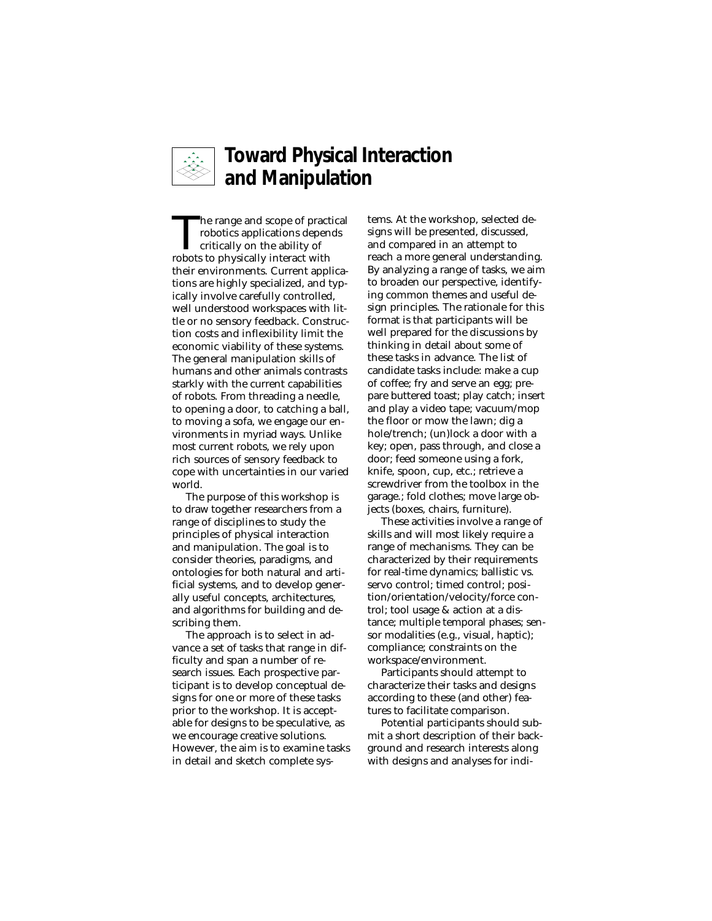

#### **Toward Physical Interaction and Manipulation**

The range and scope of practical<br>robotics applications depends<br>critically on the ability of<br>robots to physically interact with robotics applications depends critically on the ability of robots to physically interact with their environments. Current applications are highly specialized, and typically involve carefully controlled, well understood workspaces with little or no sensory feedback. Construction costs and inflexibility limit the economic viability of these systems. The general manipulation skills of humans and other animals contrasts starkly with the current capabilities of robots. From threading a needle, to opening a door, to catching a ball, to moving a sofa, we engage our environments in myriad ways. Unlike most current robots, we rely upon rich sources of sensory feedback to cope with uncertainties in our varied world.

The purpose of this workshop is to draw together researchers from a range of disciplines to study the principles of physical interaction and manipulation. The goal is to consider theories, paradigms, and ontologies for both natural and artificial systems, and to develop generally useful concepts, architectures, and algorithms for building and describing them.

The approach is to select in advance a set of tasks that range in difficulty and span a number of research issues. Each prospective participant is to develop conceptual designs for one or more of these tasks prior to the workshop. It is acceptable for designs to be speculative, as we encourage creative solutions. However, the aim is to examine tasks in detail and sketch complete sys-

tems. At the workshop, selected designs will be presented, discussed, and compared in an attempt to reach a more general understanding. By analyzing a range of tasks, we aim to broaden our perspective, identifying common themes and useful design principles. The rationale for this format is that participants will be well prepared for the discussions by thinking in detail about some of these tasks in advance. The list of candidate tasks include: make a cup of coffee; fry and serve an egg; prepare buttered toast; play catch; insert and play a video tape; vacuum/mop the floor or mow the lawn; dig a hole/trench; (un)lock a door with a key; open, pass through, and close a door; feed someone using a fork, knife, spoon, cup, etc.; retrieve a screwdriver from the toolbox in the garage.; fold clothes; move large objects (boxes, chairs, furniture).

These activities involve a range of skills and will most likely require a range of mechanisms. They can be characterized by their requirements for real-time dynamics; ballistic vs. servo control; timed control; position/orientation/velocity/force control; tool usage & action at a distance; multiple temporal phases; sensor modalities (e.g., visual, haptic); compliance; constraints on the workspace/environment.

Participants should attempt to characterize their tasks and designs according to these (and other) features to facilitate comparison.

Potential participants should submit a short description of their background and research interests along with designs and analyses for indi-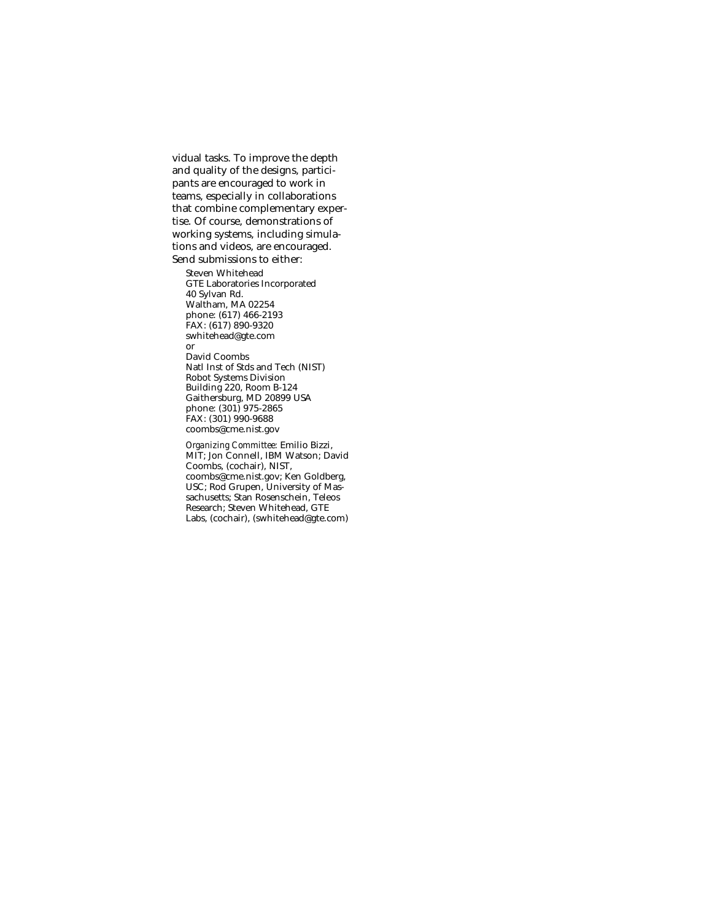vidual tasks. To improve the depth and quality of the designs, participants are encouraged to work in teams, especially in collaborations that combine complementary expertise. Of course, demonstrations of working systems, including simulations and videos, are encouraged. Send submissions to either:

Steven Whitehead GTE Laboratories Incorporated 40 Sylvan Rd. Waltham, MA 02254 phone: (617) 466-2193 FAX: (617) 890-9320 swhitehead@gte.com or David Coombs Natl Inst of Stds and Tech (NIST) Robot Systems Division Building 220, Room B-124 Gaithersburg, MD 20899 USA phone: (301) 975-2865 FAX: (301) 990-9688 coombs@cme.nist.gov

*Organizing Committee:* Emilio Bizzi, MIT; Jon Connell, IBM Watson; David Coombs, (cochair), NIST, coombs@cme.nist.gov; Ken Goldberg, USC; Rod Grupen, University of Massachusetts; Stan Rosenschein, Teleos Research; Steven Whitehead, GTE Labs, (cochair), (swhitehead@gte.com)